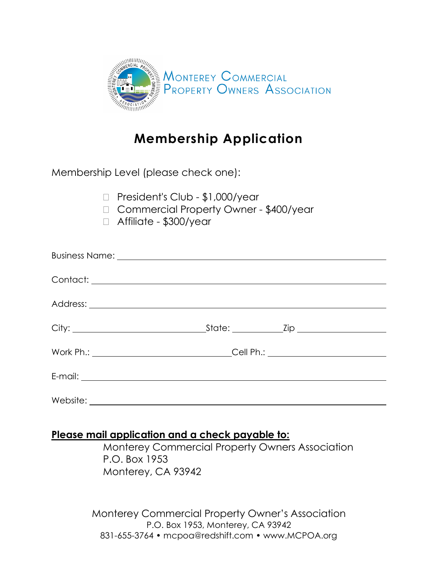

# **Membership Application**

Membership Level (please check one):

|  |  |  | $\Box$ President's Club - \$1,000/year |  |
|--|--|--|----------------------------------------|--|
|--|--|--|----------------------------------------|--|

- □ Commercial Property Owner \$400/year
- Affiliate \$300/year

| Work Ph.: ___________________________________Cell Ph.: _________________________ |  |  |
|----------------------------------------------------------------------------------|--|--|
|                                                                                  |  |  |
|                                                                                  |  |  |

## **Please mail application and a check payable to:**

Monterey Commercial Property Owners Association P.O. Box 1953 Monterey, CA 93942

Monterey Commercial Property Owner's Association P.O. Box 1953, Monterey, CA 93942 831-655-3764 • mcpoa@redshift.com • www.MCPOA.org